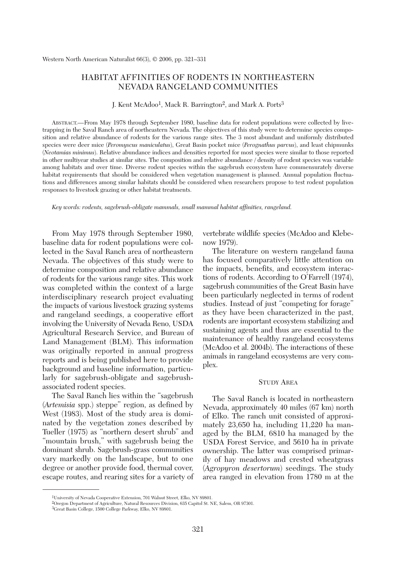## HABITAT AFFINITIES OF RODENTS IN NORTHEASTERN NEVADA RANGELAND COMMUNITIES

J. Kent McAdoo1, Mack R. Barrington2, and Mark A. Ports3

ABSTRACT.—From May 1978 through September 1980, baseline data for rodent populations were collected by livetrapping in the Saval Ranch area of northeastern Nevada. The objectives of this study were to determine species composition and relative abundance of rodents for the various range sites. The 3 most abundant and uniformly distributed species were deer mice (*Peromyscus maniculatus*), Great Basin pocket mice (*Perognathus parvus*), and least chipmunks (*Neotamias minimus*). Relative abundance indices and densities reported for most species were similar to those reported in other multiyear studies at similar sites. The composition and relative abundance / density of rodent species was variable among habitats and over time. Diverse rodent species within the sagebrush ecosystem have commensurately diverse habitat requirements that should be considered when vegetation management is planned. Annual population fluctuations and differences among similar habitats should be considered when researchers propose to test rodent population responses to livestock grazing or other habitat treatments.

*Key words: rodents, sagebrush-obligate mammals, small mammal habitat affinities, rangeland.*

From May 1978 through September 1980, baseline data for rodent populations were collected in the Saval Ranch area of northeastern Nevada. The objectives of this study were to determine composition and relative abundance of rodents for the various range sites. This work was completed within the context of a large interdisciplinary research project evaluating the impacts of various livestock grazing systems and rangeland seedings, a cooperative effort involving the University of Nevada Reno, USDA Agricultural Research Service, and Bureau of Land Management (BLM). This information was originally reported in annual progress reports and is being published here to provide background and baseline information, particularly for sagebrush-obligate and sagebrushassociated rodent species.

The Saval Ranch lies within the "sagebrush (*Artemisia* spp.) steppe" region, as defined by West (1983). Most of the study area is dominated by the vegetation zones described by Tueller (1975) as "northern desert shrub" and "mountain brush," with sagebrush being the dominant shrub. Sagebrush-grass communities vary markedly on the landscape, but to one degree or another provide food, thermal cover, escape routes, and rearing sites for a variety of vertebrate wildlife species (McAdoo and Klebenow 1979).

The literature on western rangeland fauna has focused comparatively little attention on the impacts, benefits, and ecosystem interactions of rodents. According to O'Farrell (1974), sagebrush communities of the Great Basin have been particularly neglected in terms of rodent studies. Instead of just "competing for forage" as they have been characterized in the past, rodents are important ecosystem stabilizing and sustaining agents and thus are essential to the maintenance of healthy rangeland ecosystems (McAdoo et al. 2004b). The interactions of these animals in rangeland ecosystems are very complex.

#### STUDY AREA

The Saval Ranch is located in northeastern Nevada, approximately 40 miles (67 km) north of Elko. The ranch unit consisted of approximately 23,650 ha, including 11,220 ha managed by the BLM, 6810 ha managed by the USDA Forest Service, and 5610 ha in private ownership. The latter was comprised primarily of hay meadows and crested wheatgrass (*Agropyron desertorum*) seedings. The study area ranged in elevation from 1780 m at the

<sup>1</sup>University of Nevada Cooperative Extension, 701 Walnut Street, Elko, NV 89801.

<sup>2</sup>Oregon Department of Agriculture, Natural Resources Division, 635 Capitol St. NE, Salem, OR 97301.

<sup>3</sup>Great Basin College, 1500 College Parkway, Elko, NV 89801.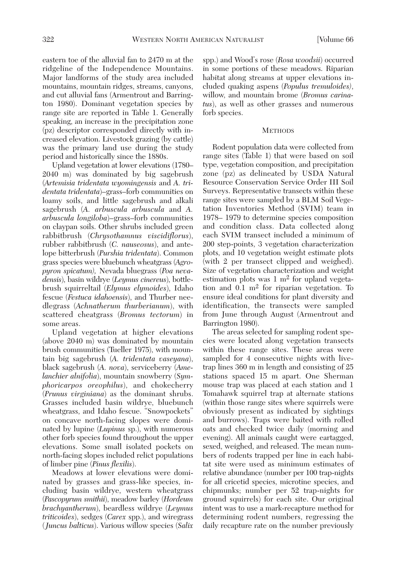eastern toe of the alluvial fan to 2470 m at the ridgeline of the Independence Mountains. Major landforms of the study area included mountains, mountain ridges, streams, canyons, and cut alluvial fans (Armentrout and Barrington 1980). Dominant vegetation species by range site are reported in Table 1. Generally speaking, an increase in the precipitation zone (pz) descriptor corresponded directly with increased elevation. Livestock grazing (by cattle) was the primary land use during the study period and historically since the 1880s.

Upland vegetation at lower elevations (1780– 2040 m) was dominated by big sagebrush (*Artemisia tridentata wyomingensis* and *A. tridentata tridentata*)–grass–forb communities on loamy soils, and little sagebrush and alkali sagebrush (*A. arbuscula arbuscula* and *A. arbuscula longiloba*)–grass–forb communities on claypan soils. Other shrubs included green rabbitbrush (*Chrysothamnus viscidiflorus*), rubber rabbitbrush (*C. nauseosus*), and antelope bitterbrush (*Purshia tridentata*). Common grass species were bluebunch wheatgrass (*Agropyron spicatum),* Nevada bluegrass (*Poa nevadensis*), basin wildrye (*Leymus cinereus*), bottlebrush squirreltail (*Elymus elymoides*), Idaho fescue (*Festuca idahoensis*), and Thurber needlegrass (*Achnatherum thurberianum*), with scattered cheatgrass (*Bromus tectorum*) in some areas.

Upland vegetation at higher elevations (above 2040 m) was dominated by mountain brush communities (Tueller 1975), with mountain big sagebrush (*A. tridentata vaseyana*), black sagebrush (*A. nova*), serviceberry (*Amelanchier alnifolia*), mountain snowberry (*Symphoricarpos oreophilus*), and chokecherry (*Prunus virginiana*) as the dominant shrubs. Grasses included basin wildrye, bluebunch wheatgrass, and Idaho fescue. "Snowpockets" on concave north-facing slopes were dominated by lupine (*Lupinus* sp.), with numerous other forb species found throughout the upper elevations. Some small isolated pockets on north-facing slopes included relict populations of limber pine (*Pinus flexilis*).

Meadows at lower elevations were dominated by grasses and grass-like species, including basin wildrye, western wheatgrass (*Pascopyrum smithii*), meadow barley (*Hordeum brachyantherum*), beardless wildrye (*Leymus triticoides*), sedges (*Carex* spp.), and wiregrass (*Juncus balticus*). Various willow species (*Salix*

spp.) and Wood's rose (*Rosa woodsii*) occurred in some portions of these meadows. Riparian habitat along streams at upper elevations included quaking aspens (*Populus tremuloides)*, willow, and mountain brome (*Bromus carinatus*), as well as other grasses and numerous forb species.

### **METHODS**

Rodent population data were collected from range sites (Table 1) that were based on soil type, vegetation composition, and precipitation zone (pz) as delineated by USDA Natural Resource Conservation Service Order III Soil Surveys. Representative transects within these range sites were sampled by a BLM Soil Vegetation Inventories Method (SVIM) team in 1978– 1979 to determine species composition and condition class. Data collected along each SVIM transect included a minimum of 200 step-points, 3 vegetation characterization plots, and 10 vegetation weight estimate plots (with 2 per transect clipped and weighed). Size of vegetation characterization and weight estimation plots was  $1 \text{ m}^2$  for upland vegetation and  $0.1 \text{ m}^2$  for riparian vegetation. To ensure ideal conditions for plant diversity and identification, the transects were sampled from June through August (Armentrout and Barrington 1980).

The areas selected for sampling rodent species were located along vegetation transects within these range sites. These areas were sampled for 4 consecutive nights with livetrap lines 360 m in length and consisting of 25 stations spaced 15 m apart. One Sherman mouse trap was placed at each station and 1 Tomahawk squirrel trap at alternate stations (within those range sites where squirrels were obviously present as indicated by sightings and burrows). Traps were baited with rolled oats and checked twice daily (morning and evening). All animals caught were eartagged, sexed, weighed, and released. The mean numbers of rodents trapped per line in each habitat site were used as minimum estimates of relative abundance (number per 100 trap-nights for all cricetid species, microtine species, and chipmunks; number per 52 trap-nights for ground squirrels) for each site. Our original intent was to use a mark-recapture method for determining rodent numbers, regressing the daily recapture rate on the number previously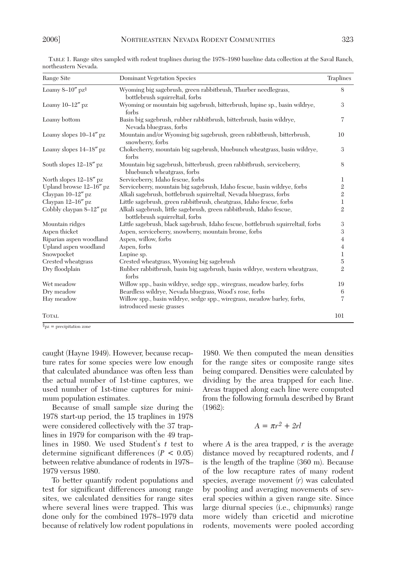| Range Site                      | <b>Dominant Vegetation Species</b>                                                                      | Traplines      |
|---------------------------------|---------------------------------------------------------------------------------------------------------|----------------|
| Loamy $8-10''$ pz $\frac{8}{3}$ | Wyoming big sagebrush, green rabbitbrush, Thurber needlegrass,<br>bottlebrush squirreltail, forbs       | 8              |
| Loamy $10-12''$ pz              | Wyoming or mountain big sagebrush, bitterbrush, lupine sp., basin wildrye,<br>forbs                     | 3              |
| Loamy bottom                    | Basin big sagebrush, rubber rabbitbrush, bitterbrush, basin wildrye,<br>Nevada bluegrass, forbs         | 7              |
| Loamy slopes $10-14''$ pz       | Mountain and/or Wyoming big sagebrush, green rabbitbrush, bitterbrush,<br>snowberry, forbs              | 10             |
| Loamy slopes $14-18''$ pz       | Chokecherry, mountain big sagebrush, bluebunch wheatgrass, basin wildrye,<br>forbs                      | 3              |
| South slopes $12-18''$ pz       | Mountain big sagebrush, bitterbrush, green rabbitbrush, serviceberry,<br>bluebunch wheatgrass, forbs    | 8              |
| North slopes 12-18" pz          | Serviceberry, Idaho fescue, forbs                                                                       | 1              |
| Upland browse 12-16" pz         | Serviceberry, mountain big sagebrush, Idaho fescue, basin wildrye, forbs                                | $\mathbf{2}$   |
| Claypan 10-12" pz               | Alkali sagebrush, bottlebrush squirreltail, Nevada bluegrass, forbs                                     | $\overline{2}$ |
| Claypan 12-16" pz               | Little sagebrush, green rabbitbrush, cheatgrass, Idaho fescue, forbs                                    | $\bf{l}$       |
| Cobbly claypan 8–12" pz         | Alkali sagebrush, little sagebrush, green rabbitbrush, Idaho fescue,<br>bottlebrush squirreltail, forbs | $\overline{2}$ |
| Mountain ridges                 | Little sagebrush, black sagebrush, Idaho fescue, bottlebrush squirreltail, forbs                        | 3              |
| Aspen thicket                   | Aspen, serviceberry, snowberry, mountain brome, forbs                                                   | 3              |
| Riparian aspen woodland         | Aspen, willow, forbs                                                                                    | $\overline{4}$ |
| Upland aspen woodland           | Aspen, forbs                                                                                            | 4              |
| Snowpocket                      | Lupine sp.                                                                                              | $\mathbf 1$    |
| Crested wheatgrass              | Crested wheatgrass, Wyoming big sagebrush                                                               | $\overline{5}$ |
| Dry floodplain                  | Rubber rabbitbrush, basin big sagebrush, basin wildrye, western wheatgrass,<br>forbs                    | $\mathbf{2}$   |
| Wet meadow                      | Willow spp., basin wildrye, sedge spp., wiregrass, meadow barley, forbs                                 | 19             |
| Dry meadow                      | Beardless wildrye, Nevada bluegrass, Wood's rose, forbs                                                 | 6              |
| Hay meadow                      | Willow spp., basin wildrye, sedge spp., wiregrass, meadow barley, forbs,<br>introduced mesic grasses    | 7              |
| <b>TOTAL</b>                    |                                                                                                         | 101            |

TABLE 1. Range sites sampled with rodent traplines during the 1978–1980 baseline data collection at the Saval Ranch, northeastern Nevada.

 $\gamma_{\text{pz}} =$  precipitation zone

caught (Hayne 1949). However, because recapture rates for some species were low enough that calculated abundance was often less than the actual number of 1st-time captures, we used number of 1st-time captures for minimum population estimates.

Because of small sample size during the 1978 start-up period, the 15 traplines in 1978 were considered collectively with the 37 traplines in 1979 for comparison with the 49 traplines in 1980. We used Student's *t* test to determine significant differences (*P* < 0.05) between relative abundance of rodents in 1978– 1979 versus 1980.

To better quantify rodent populations and test for significant differences among range sites, we calculated densities for range sites where several lines were trapped. This was done only for the combined 1978–1979 data because of relatively low rodent populations in

1980. We then computed the mean densities for the range sites or composite range sites being compared. Densities were calculated by dividing by the area trapped for each line. Areas trapped along each line were computed from the following formula described by Brant (1962):

## $A = \pi r^2 + 2r l$

where *A* is the area trapped, *r* is the average distance moved by recaptured rodents, and *l* is the length of the trapline (360 m). Because of the low recapture rates of many rodent species, average movement (*r*) was calculated by pooling and averaging movements of several species within a given range site. Since large diurnal species (i.e., chipmunks) range more widely than cricetid and microtine rodents, movements were pooled according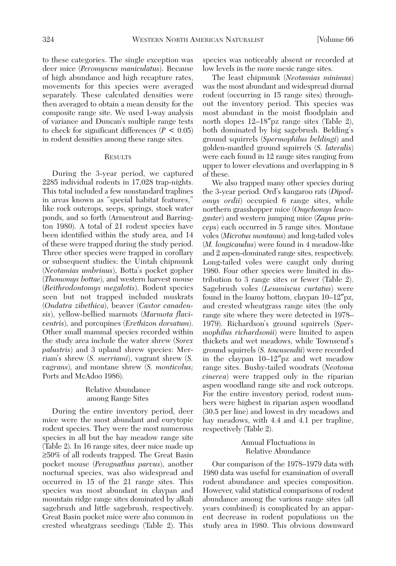to these categories. The single exception was deer mice (*Peromyscus maniculatus*). Because of high abundance and high recapture rates, movements for this species were averaged separately. These calculated densities were then averaged to obtain a mean density for the composite range site. We used 1-way analysis of variance and Duncan's multiple range tests to check for significant differences  $(P < 0.05)$ in rodent densities among these range sites.

## **RESULTS**

During the 3-year period, we captured 2285 individual rodents in 17,028 trap-nights. This total included a few nonstandard traplines in areas known as "special habitat features," like rock outcrops, seeps, springs, stock water ponds, and so forth (Armentrout and Barrington 1980). A total of 21 rodent species have been identified within the study area, and 14 of these were trapped during the study period. Three other species were trapped in corollary or subsequent studies: the Uintah chipmunk (*Neotamias umbrinus*), Botta's pocket gopher (*Thomomys bottae*), and western harvest mouse (*Reithrodontomys megalotis*). Rodent species seen but not trapped included muskrats (*Ondatra zibethica*), beaver (*Castor canadensis*), yellow-bellied marmots (*Marmota flaviventris*), and porcupines (*Erethizon dorsatum*). Other small mammal species recorded within the study area include the water shrew (*Sorex palustris*) and 3 upland shrew species: Merriam's shrew (*S. merriami*), vagrant shrew (*S. vagrans*), and montane shrew (*S. monticolus;* Ports and McAdoo 1986).

## Relative Abundance among Range Sites

During the entire inventory period, deer mice were the most abundant and eurytopic rodent species. They were the most numerous species in all but the hay meadow range site (Table 2). In 16 range sites, deer mice made up ≥50% of all rodents trapped. The Great Basin pocket mouse (*Perognathus parvus*), another nocturnal species, was also widespread and occurred in 15 of the 21 range sites. This species was most abundant in claypan and mountain ridge range sites dominated by alkali sagebrush and little sagebrush, respectively. Great Basin pocket mice were also common in crested wheatgrass seedings (Table 2). This species was noticeably absent or recorded at low levels in the more mesic range sites.

The least chipmunk (*Neotamias minimus*) was the most abundant and widespread diurnal rodent (occurring in 15 range sites) throughout the inventory period. This species was most abundant in the moist floodplain and north slopes 12–18″pz range sites (Table 2), both dominated by big sagebrush. Belding's ground squirrels (*Spermophilus beldingi*) and golden-mantled ground squirrels (*S. lateralis*) were each found in 12 range sites ranging from upper to lower elevations and overlapping in 8 of these.

We also trapped many other species during the 3-year period. Ord's kangaroo rats (*Dipodomys ordii*) occupied 6 range sites, while northern grasshopper mice (*Onychomys leucogaster*) and western jumping mice (*Zapus princeps*) each occurred in 5 range sites. Montane voles (*Microtus montanus*) and long-tailed voles (*M. longicaudus*) were found in 4 meadow-like and 2 aspen-dominated range sites, respectively. Long-tailed voles were caught only during 1980. Four other species were limited in distribution to 3 range sites or fewer (Table 2). Sagebrush voles (*Lemmiscus curtatus*) were found in the loamy bottom, claypan 10–12″pz, and crested wheatgrass range sites (the only range site where they were detected in 1978– 1979). Richardson's ground squirrels (*Spermophilus richardsonii*) were limited to aspen thickets and wet meadows, while Townsend's ground squirrels (*S. townsendii*) were recorded in the claypan 10–12″pz and wet meadow range sites. Bushy-tailed woodrats (*Neotoma cinerea*) were trapped only in the riparian aspen woodland range site and rock outcrops. For the entire inventory period, rodent numbers were highest in riparian aspen woodland (30.5 per line) and lowest in dry meadows and hay meadows, with 4.4 and 4.1 per trapline, respectively (Table 2).

## Annual Fluctuations in Relative Abundance

Our comparison of the 1978–1979 data with 1980 data was useful for examination of overall rodent abundance and species composition. However, valid statistical comparisons of rodent abundance among the various range sites (all years combined) is complicated by an apparent decrease in rodent populations on the study area in 1980. This obvious downward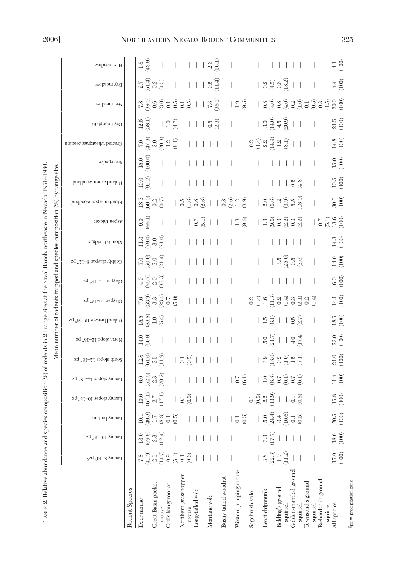# 2006] NORTHEASTERN NEVADA RODENT COMMUNITIES 325

| TABLE 2. Relative abundance and species composition (%) of rodents in 21 range sites at the Saval Ranch, northeastern Nevada, 1978-1980 |                                                             |                             |                      |                                                                                    |                                 |                                                                                                                                                                                                                                                                                                                                                                                                                             |                                        |                                                                                   |                   |                                           |                         |                    | Mean number of rodents trapped and species composition $(\%)$ by range site.                                                                                                                                                                                                                                                                         |                       |                    |                            |                                                                                                                                                                                                                                                                                                                                                                                                                   |                                                                                                                                                                                                                                                                                                                                                                                                                                                                                                                                                                                                                                                                                                                                                |                                                                                                                                                                                                                                                                                                                                                                                                                                                                         |                        |
|-----------------------------------------------------------------------------------------------------------------------------------------|-------------------------------------------------------------|-----------------------------|----------------------|------------------------------------------------------------------------------------|---------------------------------|-----------------------------------------------------------------------------------------------------------------------------------------------------------------------------------------------------------------------------------------------------------------------------------------------------------------------------------------------------------------------------------------------------------------------------|----------------------------------------|-----------------------------------------------------------------------------------|-------------------|-------------------------------------------|-------------------------|--------------------|------------------------------------------------------------------------------------------------------------------------------------------------------------------------------------------------------------------------------------------------------------------------------------------------------------------------------------------------------|-----------------------|--------------------|----------------------------|-------------------------------------------------------------------------------------------------------------------------------------------------------------------------------------------------------------------------------------------------------------------------------------------------------------------------------------------------------------------------------------------------------------------|------------------------------------------------------------------------------------------------------------------------------------------------------------------------------------------------------------------------------------------------------------------------------------------------------------------------------------------------------------------------------------------------------------------------------------------------------------------------------------------------------------------------------------------------------------------------------------------------------------------------------------------------------------------------------------------------------------------------------------------------|-------------------------------------------------------------------------------------------------------------------------------------------------------------------------------------------------------------------------------------------------------------------------------------------------------------------------------------------------------------------------------------------------------------------------------------------------------------------------|------------------------|
|                                                                                                                                         |                                                             |                             |                      |                                                                                    |                                 |                                                                                                                                                                                                                                                                                                                                                                                                                             |                                        |                                                                                   |                   |                                           |                         |                    |                                                                                                                                                                                                                                                                                                                                                      |                       |                    |                            |                                                                                                                                                                                                                                                                                                                                                                                                                   |                                                                                                                                                                                                                                                                                                                                                                                                                                                                                                                                                                                                                                                                                                                                                |                                                                                                                                                                                                                                                                                                                                                                                                                                                                         |                        |
|                                                                                                                                         | Loamy 8-10" gzs                                             | Loamy 10-12" pz             | Loamy bottom         | Loamy slopes $10$ –14"                                                             | Loamy slopes 14–18″ pz          | South slopes 12–18″ pz                                                                                                                                                                                                                                                                                                                                                                                                      | North slope 12–18″ pz                  | Upland browse 12–16″ pz                                                           | Claypan 10–12″ pz | Claypan 12–16″ pz                         | Cobbly claypan 8–12″ pz | Mountain ridges    | bnslboow noqes nsinsqifl<br>Aspen thicket                                                                                                                                                                                                                                                                                                            | bralboow reque bralqU | Snowpocket         | Crested wheatgrass seeding | Dry floodplain                                                                                                                                                                                                                                                                                                                                                                                                    | Wet meadow                                                                                                                                                                                                                                                                                                                                                                                                                                                                                                                                                                                                                                                                                                                                     | Dry meadow                                                                                                                                                                                                                                                                                                                                                                                                                                                              | Hay meadow             |
| Rodent Species                                                                                                                          |                                                             |                             |                      |                                                                                    |                                 |                                                                                                                                                                                                                                                                                                                                                                                                                             |                                        |                                                                                   |                   |                                           |                         |                    |                                                                                                                                                                                                                                                                                                                                                      |                       |                    |                            |                                                                                                                                                                                                                                                                                                                                                                                                                   |                                                                                                                                                                                                                                                                                                                                                                                                                                                                                                                                                                                                                                                                                                                                                |                                                                                                                                                                                                                                                                                                                                                                                                                                                                         |                        |
| Deer mouse                                                                                                                              |                                                             | 13.0                        |                      | $\frac{10.6}{67.1}$ $\frac{7}{11}$ $\frac{1}{11}$                                  | 6.0<br>6.2.3<br>6.2.9           | $\frac{28}{610}$<br>$\frac{3}{2}$<br>$\frac{5}{11}$                                                                                                                                                                                                                                                                                                                                                                         | (60.9)                                 | $15.8$<br>$-1.6$<br>$-1.6$                                                        |                   | $4.0$<br>$4.6$<br>$6.0$<br>$6.3$<br>$6.3$ |                         | $\frac{300}{1790}$ | $\frac{3000000}{600000}$<br>$\frac{9.0}{66.1}$                                                                                                                                                                                                                                                                                                       | (95.2)<br>10.0        | $15.0$<br>(100.0)  |                            | $\frac{15}{21} \cdot \frac{15}{21} \cdot \frac{15}{21} \cdot \frac{11}{21} \cdot \frac{11}{21} \cdot \frac{11}{21} \cdot \frac{11}{21} \cdot \frac{15}{21} \cdot \frac{11}{21} \cdot \frac{11}{21} \cdot \frac{11}{21} \cdot \frac{11}{21} \cdot \frac{11}{21} \cdot \frac{11}{21} \cdot \frac{11}{21} \cdot \frac{11}{21} \cdot \frac{11}{21} \cdot \frac{11}{21} \cdot \frac{11}{21} \cdot \frac{11}{21} \cdot$ |                                                                                                                                                                                                                                                                                                                                                                                                                                                                                                                                                                                                                                                                                                                                                |                                                                                                                                                                                                                                                                                                                                                                                                                                                                         | $\frac{1.8}{43.9}$     |
| Great Basin pocket                                                                                                                      |                                                             |                             |                      |                                                                                    |                                 |                                                                                                                                                                                                                                                                                                                                                                                                                             |                                        |                                                                                   |                   |                                           |                         |                    |                                                                                                                                                                                                                                                                                                                                                      |                       |                    |                            |                                                                                                                                                                                                                                                                                                                                                                                                                   |                                                                                                                                                                                                                                                                                                                                                                                                                                                                                                                                                                                                                                                                                                                                                |                                                                                                                                                                                                                                                                                                                                                                                                                                                                         |                        |
| mouse                                                                                                                                   | $(45.9)$<br>$(45.7)$<br>$(45.9)$<br>$(6.3)$<br>$(6.6)$      | $69.9$<br>$2.3$<br>$12.4$ ) |                      |                                                                                    |                                 |                                                                                                                                                                                                                                                                                                                                                                                                                             |                                        |                                                                                   |                   |                                           |                         |                    |                                                                                                                                                                                                                                                                                                                                                      |                       |                    |                            |                                                                                                                                                                                                                                                                                                                                                                                                                   |                                                                                                                                                                                                                                                                                                                                                                                                                                                                                                                                                                                                                                                                                                                                                |                                                                                                                                                                                                                                                                                                                                                                                                                                                                         |                        |
| Ord's kangaroo rat                                                                                                                      |                                                             |                             |                      |                                                                                    |                                 |                                                                                                                                                                                                                                                                                                                                                                                                                             |                                        |                                                                                   |                   |                                           |                         |                    |                                                                                                                                                                                                                                                                                                                                                      |                       |                    |                            |                                                                                                                                                                                                                                                                                                                                                                                                                   |                                                                                                                                                                                                                                                                                                                                                                                                                                                                                                                                                                                                                                                                                                                                                |                                                                                                                                                                                                                                                                                                                                                                                                                                                                         |                        |
|                                                                                                                                         |                                                             |                             |                      |                                                                                    |                                 |                                                                                                                                                                                                                                                                                                                                                                                                                             |                                        |                                                                                   |                   |                                           |                         |                    |                                                                                                                                                                                                                                                                                                                                                      |                       |                    |                            |                                                                                                                                                                                                                                                                                                                                                                                                                   |                                                                                                                                                                                                                                                                                                                                                                                                                                                                                                                                                                                                                                                                                                                                                |                                                                                                                                                                                                                                                                                                                                                                                                                                                                         |                        |
| Northern grasshopper                                                                                                                    |                                                             |                             |                      |                                                                                    |                                 |                                                                                                                                                                                                                                                                                                                                                                                                                             |                                        |                                                                                   |                   |                                           |                         |                    |                                                                                                                                                                                                                                                                                                                                                      |                       |                    |                            |                                                                                                                                                                                                                                                                                                                                                                                                                   |                                                                                                                                                                                                                                                                                                                                                                                                                                                                                                                                                                                                                                                                                                                                                |                                                                                                                                                                                                                                                                                                                                                                                                                                                                         |                        |
| mouse                                                                                                                                   |                                                             |                             |                      |                                                                                    |                                 |                                                                                                                                                                                                                                                                                                                                                                                                                             |                                        |                                                                                   |                   |                                           |                         |                    |                                                                                                                                                                                                                                                                                                                                                      |                       |                    |                            |                                                                                                                                                                                                                                                                                                                                                                                                                   |                                                                                                                                                                                                                                                                                                                                                                                                                                                                                                                                                                                                                                                                                                                                                |                                                                                                                                                                                                                                                                                                                                                                                                                                                                         |                        |
| ong-tailed vole                                                                                                                         |                                                             |                             |                      |                                                                                    |                                 |                                                                                                                                                                                                                                                                                                                                                                                                                             |                                        |                                                                                   |                   |                                           |                         |                    |                                                                                                                                                                                                                                                                                                                                                      |                       |                    |                            |                                                                                                                                                                                                                                                                                                                                                                                                                   |                                                                                                                                                                                                                                                                                                                                                                                                                                                                                                                                                                                                                                                                                                                                                |                                                                                                                                                                                                                                                                                                                                                                                                                                                                         | 11111132               |
|                                                                                                                                         |                                                             |                             |                      |                                                                                    |                                 |                                                                                                                                                                                                                                                                                                                                                                                                                             |                                        |                                                                                   |                   |                                           |                         |                    |                                                                                                                                                                                                                                                                                                                                                      |                       |                    |                            |                                                                                                                                                                                                                                                                                                                                                                                                                   |                                                                                                                                                                                                                                                                                                                                                                                                                                                                                                                                                                                                                                                                                                                                                |                                                                                                                                                                                                                                                                                                                                                                                                                                                                         |                        |
| Montane vole                                                                                                                            |                                                             |                             |                      |                                                                                    |                                 |                                                                                                                                                                                                                                                                                                                                                                                                                             |                                        |                                                                                   |                   |                                           |                         |                    |                                                                                                                                                                                                                                                                                                                                                      |                       |                    |                            |                                                                                                                                                                                                                                                                                                                                                                                                                   |                                                                                                                                                                                                                                                                                                                                                                                                                                                                                                                                                                                                                                                                                                                                                |                                                                                                                                                                                                                                                                                                                                                                                                                                                                         |                        |
|                                                                                                                                         |                                                             |                             |                      |                                                                                    |                                 |                                                                                                                                                                                                                                                                                                                                                                                                                             |                                        |                                                                                   |                   |                                           |                         |                    |                                                                                                                                                                                                                                                                                                                                                      |                       |                    |                            |                                                                                                                                                                                                                                                                                                                                                                                                                   |                                                                                                                                                                                                                                                                                                                                                                                                                                                                                                                                                                                                                                                                                                                                                |                                                                                                                                                                                                                                                                                                                                                                                                                                                                         |                        |
| Bushy-tailed woodrat                                                                                                                    |                                                             |                             |                      |                                                                                    |                                 |                                                                                                                                                                                                                                                                                                                                                                                                                             |                                        |                                                                                   |                   |                                           |                         |                    |                                                                                                                                                                                                                                                                                                                                                      |                       |                    |                            |                                                                                                                                                                                                                                                                                                                                                                                                                   |                                                                                                                                                                                                                                                                                                                                                                                                                                                                                                                                                                                                                                                                                                                                                |                                                                                                                                                                                                                                                                                                                                                                                                                                                                         |                        |
|                                                                                                                                         |                                                             |                             |                      |                                                                                    |                                 |                                                                                                                                                                                                                                                                                                                                                                                                                             |                                        |                                                                                   |                   |                                           |                         |                    |                                                                                                                                                                                                                                                                                                                                                      |                       |                    |                            |                                                                                                                                                                                                                                                                                                                                                                                                                   |                                                                                                                                                                                                                                                                                                                                                                                                                                                                                                                                                                                                                                                                                                                                                |                                                                                                                                                                                                                                                                                                                                                                                                                                                                         |                        |
| Western jumping mouse                                                                                                                   |                                                             |                             |                      |                                                                                    |                                 |                                                                                                                                                                                                                                                                                                                                                                                                                             |                                        |                                                                                   |                   |                                           |                         |                    |                                                                                                                                                                                                                                                                                                                                                      |                       |                    |                            |                                                                                                                                                                                                                                                                                                                                                                                                                   |                                                                                                                                                                                                                                                                                                                                                                                                                                                                                                                                                                                                                                                                                                                                                |                                                                                                                                                                                                                                                                                                                                                                                                                                                                         |                        |
|                                                                                                                                         |                                                             | $\mathbf{L}$                |                      |                                                                                    |                                 |                                                                                                                                                                                                                                                                                                                                                                                                                             |                                        |                                                                                   |                   |                                           |                         |                    |                                                                                                                                                                                                                                                                                                                                                      |                       |                    |                            |                                                                                                                                                                                                                                                                                                                                                                                                                   |                                                                                                                                                                                                                                                                                                                                                                                                                                                                                                                                                                                                                                                                                                                                                |                                                                                                                                                                                                                                                                                                                                                                                                                                                                         |                        |
| Sagebrush vole                                                                                                                          |                                                             |                             |                      |                                                                                    |                                 |                                                                                                                                                                                                                                                                                                                                                                                                                             |                                        |                                                                                   |                   |                                           |                         |                    |                                                                                                                                                                                                                                                                                                                                                      |                       |                    |                            |                                                                                                                                                                                                                                                                                                                                                                                                                   |                                                                                                                                                                                                                                                                                                                                                                                                                                                                                                                                                                                                                                                                                                                                                |                                                                                                                                                                                                                                                                                                                                                                                                                                                                         |                        |
|                                                                                                                                         |                                                             |                             |                      |                                                                                    |                                 |                                                                                                                                                                                                                                                                                                                                                                                                                             |                                        |                                                                                   |                   |                                           |                         |                    |                                                                                                                                                                                                                                                                                                                                                      |                       |                    |                            |                                                                                                                                                                                                                                                                                                                                                                                                                   |                                                                                                                                                                                                                                                                                                                                                                                                                                                                                                                                                                                                                                                                                                                                                |                                                                                                                                                                                                                                                                                                                                                                                                                                                                         |                        |
| Least chipmunk                                                                                                                          | $\begin{array}{c} 3.8 \\ 22.3 \\ 1.9 \\ \hline \end{array}$ | $\frac{33}{27}$             |                      |                                                                                    | $11115000000000000000000001111$ | $\frac{1}{2}\,\frac{1}{16}\,\frac{1}{2}\,\frac{1}{2}\,\frac{1}{2}\,\frac{1}{2}\,\frac{1}{2}\,\frac{1}{2}\,\frac{1}{2}\,\frac{1}{2}\,\frac{1}{2}\,\frac{1}{2}\,\frac{1}{2}\,\frac{1}{2}\,\frac{1}{2}\,\frac{1}{2}\,\frac{1}{2}\,\frac{1}{2}\,\frac{1}{2}\,\frac{1}{2}\,\frac{1}{2}\,\frac{1}{2}\,\frac{1}{2}\,\frac{1}{2}\,\frac{1}{2}\,\frac{1}{2}\,\frac{1}{2}\,\frac{1}{2}\,\frac{1}{2}\,\frac{1}{2}\,\frac{1}{2}\,\frac$ | $1111111113\frac{1}{2}113\frac{1}{2}1$ | $1 + 1 + 1 + 1 + 1 + 1 + \frac{15}{12} \frac{3}{8} + \frac{15}{12} \frac{15}{12}$ |                   |                                           |                         |                    | $\begin{array}{r} 1 \  \  3 \  \  6 \  \  2 \  \  3 \  \  6 \  \  7 \  \  8 \  \  6 \  \  1 \  \  1 \  \  3 \  \  6 \  \  9 \  \  9 \  \  1 \  \  1 \  \  3 \  \  6 \  \  1 \  \  6 \  \  9 \  \  9 \  \  9 \  \  1 \  \ 9 \  \  1 \  \ 9 \  \  1 \  \ 9 \  \  1 \  \ 9 \  \  1 \  \ 9 \  \  1 \  \ 9 \  \  1 \$<br>$1115.71111.79811.798888881.781$ |                       |                    |                            |                                                                                                                                                                                                                                                                                                                                                                                                                   |                                                                                                                                                                                                                                                                                                                                                                                                                                                                                                                                                                                                                                                                                                                                                |                                                                                                                                                                                                                                                                                                                                                                                                                                                                         |                        |
| Belding's ground                                                                                                                        |                                                             |                             |                      |                                                                                    |                                 |                                                                                                                                                                                                                                                                                                                                                                                                                             |                                        |                                                                                   |                   |                                           |                         |                    |                                                                                                                                                                                                                                                                                                                                                      |                       |                    |                            |                                                                                                                                                                                                                                                                                                                                                                                                                   |                                                                                                                                                                                                                                                                                                                                                                                                                                                                                                                                                                                                                                                                                                                                                |                                                                                                                                                                                                                                                                                                                                                                                                                                                                         |                        |
| squirrel                                                                                                                                |                                                             |                             |                      |                                                                                    |                                 |                                                                                                                                                                                                                                                                                                                                                                                                                             |                                        |                                                                                   |                   |                                           |                         |                    |                                                                                                                                                                                                                                                                                                                                                      |                       |                    |                            |                                                                                                                                                                                                                                                                                                                                                                                                                   |                                                                                                                                                                                                                                                                                                                                                                                                                                                                                                                                                                                                                                                                                                                                                |                                                                                                                                                                                                                                                                                                                                                                                                                                                                         |                        |
| Golden-mantled ground                                                                                                                   |                                                             |                             |                      |                                                                                    |                                 |                                                                                                                                                                                                                                                                                                                                                                                                                             |                                        |                                                                                   |                   |                                           |                         |                    |                                                                                                                                                                                                                                                                                                                                                      | $\frac{150}{9.8}$     |                    |                            |                                                                                                                                                                                                                                                                                                                                                                                                                   |                                                                                                                                                                                                                                                                                                                                                                                                                                                                                                                                                                                                                                                                                                                                                |                                                                                                                                                                                                                                                                                                                                                                                                                                                                         |                        |
| squirrel                                                                                                                                |                                                             |                             |                      |                                                                                    |                                 |                                                                                                                                                                                                                                                                                                                                                                                                                             |                                        |                                                                                   |                   |                                           |                         |                    |                                                                                                                                                                                                                                                                                                                                                      |                       |                    |                            |                                                                                                                                                                                                                                                                                                                                                                                                                   |                                                                                                                                                                                                                                                                                                                                                                                                                                                                                                                                                                                                                                                                                                                                                |                                                                                                                                                                                                                                                                                                                                                                                                                                                                         |                        |
| Townsend's ground                                                                                                                       |                                                             |                             |                      |                                                                                    |                                 |                                                                                                                                                                                                                                                                                                                                                                                                                             |                                        |                                                                                   |                   |                                           |                         |                    |                                                                                                                                                                                                                                                                                                                                                      |                       |                    |                            |                                                                                                                                                                                                                                                                                                                                                                                                                   |                                                                                                                                                                                                                                                                                                                                                                                                                                                                                                                                                                                                                                                                                                                                                |                                                                                                                                                                                                                                                                                                                                                                                                                                                                         |                        |
| squirrel                                                                                                                                |                                                             |                             | $\perp$              |                                                                                    |                                 |                                                                                                                                                                                                                                                                                                                                                                                                                             |                                        |                                                                                   |                   |                                           |                         |                    |                                                                                                                                                                                                                                                                                                                                                      |                       |                    |                            |                                                                                                                                                                                                                                                                                                                                                                                                                   |                                                                                                                                                                                                                                                                                                                                                                                                                                                                                                                                                                                                                                                                                                                                                |                                                                                                                                                                                                                                                                                                                                                                                                                                                                         |                        |
| Richardson's ground                                                                                                                     |                                                             |                             |                      |                                                                                    |                                 |                                                                                                                                                                                                                                                                                                                                                                                                                             |                                        |                                                                                   |                   |                                           |                         |                    |                                                                                                                                                                                                                                                                                                                                                      |                       |                    |                            |                                                                                                                                                                                                                                                                                                                                                                                                                   |                                                                                                                                                                                                                                                                                                                                                                                                                                                                                                                                                                                                                                                                                                                                                |                                                                                                                                                                                                                                                                                                                                                                                                                                                                         |                        |
| squirrel                                                                                                                                |                                                             |                             |                      |                                                                                    |                                 |                                                                                                                                                                                                                                                                                                                                                                                                                             |                                        |                                                                                   |                   |                                           |                         |                    |                                                                                                                                                                                                                                                                                                                                                      |                       |                    |                            |                                                                                                                                                                                                                                                                                                                                                                                                                   |                                                                                                                                                                                                                                                                                                                                                                                                                                                                                                                                                                                                                                                                                                                                                |                                                                                                                                                                                                                                                                                                                                                                                                                                                                         |                        |
| All species                                                                                                                             | $^{17.0}_{0.71}$                                            | $\frac{18.6}{1000}$         | $\frac{20.5}{(100)}$ | $13\frac{6}{5}1111111113\frac{6}{5}u\frac{6}{12}113\frac{6}{5}1111\frac{8}{12}600$ | $11.4$<br>$100$                 | $\frac{21.0}{(100)}$                                                                                                                                                                                                                                                                                                                                                                                                        | $1 + \frac{6}{3}$                      | $18.5$<br>$18.5$                                                                  |                   | $\frac{6.0}{100}$                         | $14.0$<br>$(100)$       | $\frac{14.3}{100}$ | $\frac{180}{300}$<br>$\frac{1}{0.5}$<br>$\frac{5}{0.5}$<br>$\frac{13.6}{0.00}$                                                                                                                                                                                                                                                                       | $\frac{10.5}{100}$    | $\frac{15.0}{100}$ | $14.8$<br>(100)            | $1 + \frac{15}{200}$                                                                                                                                                                                                                                                                                                                                                                                              | $\begin{array}{l} \kappa \frac{\partial}{\partial} \Theta \frac{\partial}{\partial} \Theta \frac{\partial}{\partial} \Theta \frac{\partial}{\partial} \Theta \frac{\partial}{\partial} \Theta \frac{\partial}{\partial} \Theta \frac{\partial}{\partial} \Theta \frac{\partial}{\partial} \Theta \frac{\partial}{\partial} \Theta \frac{\partial}{\partial} \Theta \frac{\partial}{\partial} \Theta \frac{\partial}{\partial} \Theta \frac{\partial}{\partial} \Theta \frac{\partial}{\partial} \Theta \frac{\partial}{\partial} \Theta \frac{\partial}{\partial} \Theta \frac{\partial}{\partial} \Theta \frac{\partial}{\partial} \Theta \frac{\partial}{\partial} \Theta \frac{\partial}{\partial} \Theta \frac{\partial}{\partial} \Theta$ | $\begin{array}{l} \n\frac{1}{2} \left( \frac{1}{2} \right) \frac{1}{2} \left( \frac{1}{2} \right) \left( \frac{1}{2} \right) \left( \frac{1}{2} \right) \left( \frac{1}{2} \right) \left( \frac{1}{2} \right) \left( \frac{1}{2} \right) \left( \frac{1}{2} \right) \left( \frac{1}{2} \right) \left( \frac{1}{2} \right) \left( \frac{1}{2} \right) \left( \frac{1}{2} \right) \left( \frac{1}{2} \right) \left( \frac{1}{2} \right) \left( \frac{1}{2} \right) \left$ | $11111111111111111722$ |
| $spz$ = precipitation zone                                                                                                              |                                                             |                             |                      |                                                                                    |                                 |                                                                                                                                                                                                                                                                                                                                                                                                                             |                                        |                                                                                   |                   |                                           |                         |                    |                                                                                                                                                                                                                                                                                                                                                      |                       |                    |                            |                                                                                                                                                                                                                                                                                                                                                                                                                   |                                                                                                                                                                                                                                                                                                                                                                                                                                                                                                                                                                                                                                                                                                                                                |                                                                                                                                                                                                                                                                                                                                                                                                                                                                         |                        |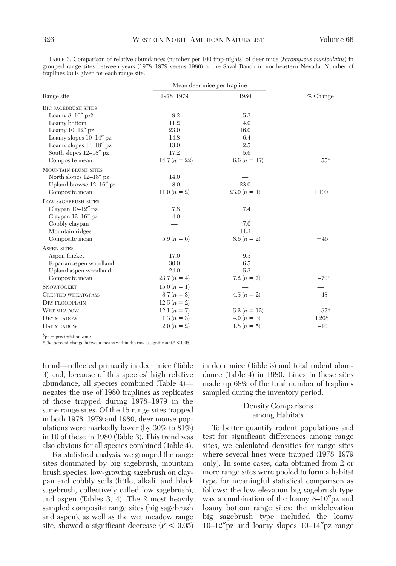|                                 | Mean deer mice per trapline |                |            |
|---------------------------------|-----------------------------|----------------|------------|
| Range site                      | 1978-1979                   | 1980           | $%$ Change |
| <b>BIG SAGEBRUSH SITES</b>      |                             |                |            |
| Loamy $8-10''$ pz $\frac{8}{3}$ | 9.2                         | 5.3            |            |
| Loamy bottom                    | 11.2                        | 4.0            |            |
| Loamy $10-12''$ pz              | 23.0                        | 16.0           |            |
| Loamy slopes 10-14" pz          | 14.8                        | 6.4            |            |
| Loamy slopes 14-18" pz          | 13.0                        | 2.5            |            |
| South slopes $12-18''$ pz       | 17.2                        | 5.6            |            |
| Composite mean                  | 14.7 $(n = 22)$             | 6.6 $(n = 17)$ | $-55*$     |
| <b>MOUNTAIN BRUSH SITES</b>     |                             |                |            |
| North slopes $12-18''$ pz       | 14.0                        |                |            |
| Upland browse $12-16''$ pz      | 8.0                         | 23.0           |            |
| Composite mean                  | 11.0 $(n = 2)$              | $23.0 (n = 1)$ | $+109$     |
| LOW SAGEBRUSH SITES             |                             |                |            |
| Claypan 10-12" pz               | 7.8                         | 7.4            |            |
| Claypan 12-16" pz               | 4.0                         |                |            |
| Cobbly claypan                  |                             | 7.0            |            |
| Mountain ridges                 |                             | 11.3           |            |
| Composite mean                  | $5.9(n = 6)$                | $8.6 (n = 2)$  | $+46$      |
| <b>ASPEN SITES</b>              |                             |                |            |
| Aspen thicket                   | 17.0                        | 9.5            |            |
| Riparian aspen woodland         | 30.0                        | 6.5            |            |
| Upland aspen woodland           | 24.0                        | 5.3            |            |
| Composite mean                  | $23.7(n = 4)$               | 7.2 $(n = 7)$  | $-70*$     |
| <b>SNOWPOCKET</b>               | $15.0(n = 1)$               |                |            |
| <b>CRESTED WHEATGRASS</b>       | $8.7(n = 3)$                | $4.5(n = 2)$   | $-48$      |
| <b>DRY FLOODPLAIN</b>           | $12.5(n = 2)$               |                |            |
| WET MEADOW                      | 12.1 $(n = 7)$              | $5.2(n = 12)$  | $-57*$     |
| DRY MEADOW                      | $1.3(n = 3)$                | $4.0 (n = 3)$  | $+208$     |
| HAY MEADOW                      | $2.0(n = 2)$                | $1.8(n = 5)$   | $-10$      |

TABLE 3. Comparison of relative abundances (number per 100 trap-nights) of deer mice (*Peromyscus maniculatus*) in grouped range sites between years (1978–1979 versus 1980) at the Saval Ranch in northeastern Nevada. Number of traplines (*n*) is given for each range site.

§pz = precipitation zone

\*The percent change between means within the row is significant  $(P < 0.05)$ .

trend—reflected primarily in deer mice (Table 3) and, because of this species' high relative abundance, all species combined (Table 4) negates the use of 1980 traplines as replicates of those trapped during 1978–1979 in the same range sites. Of the 15 range sites trapped in both 1978–1979 and 1980, deer mouse populations were markedly lower (by 30% to 81%) in 10 of these in 1980 (Table 3). This trend was also obvious for all species combined (Table 4).

For statistical analysis, we grouped the range sites dominated by big sagebrush, mountain brush species, low-growing sagebrush on claypan and cobbly soils (little, alkali, and black sagebrush, collectively called low sagebrush), and aspen (Tables 3, 4). The 2 most heavily sampled composite range sites (big sagebrush and aspen), as well as the wet meadow range site, showed a significant decrease  $(P < 0.05)$ 

in deer mice (Table 3) and total rodent abundance (Table 4) in 1980. Lines in these sites made up 68% of the total number of traplines sampled during the inventory period.

## Density Comparisons among Habitats

To better quantify rodent populations and test for significant differences among range sites, we calculated densities for range sites where several lines were trapped (1978–1979 only). In some cases, data obtained from 2 or more range sites were pooled to form a habitat type for meaningful statistical comparison as follows: the low elevation big sagebrush type was a combination of the loamy 8–10″pz and loamy bottom range sites; the midelevation big sagebrush type included the loamy 10–12″pz and loamy slopes 10–14″pz range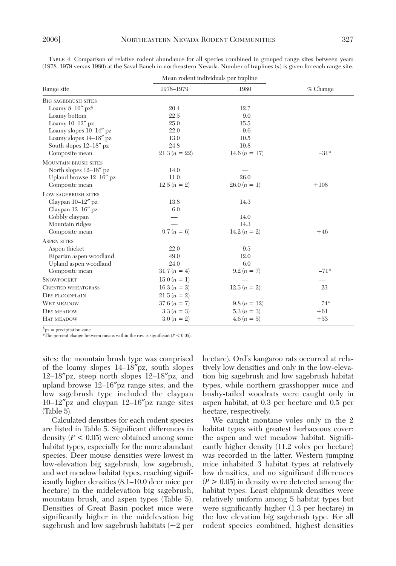|                                 | Mean rodent individuals per trapline |                 |                          |
|---------------------------------|--------------------------------------|-----------------|--------------------------|
| Range site                      | 1978-1979                            | 1980            | $%$ Change               |
| <b>BIG SAGEBRUSH SITES</b>      |                                      |                 |                          |
| Loamy $8-10''$ pz $\frac{8}{3}$ | 20.4                                 | 12.7            |                          |
| Loamy bottom                    | 22.5                                 | 9.0             |                          |
| Loamy $10-12''$ pz              | 25.0                                 | 15.5            |                          |
| Loamy slopes $10-14''$ pz       | 22.0                                 | 9.6             |                          |
| Loamy slopes 14-18" pz          | 13.0                                 | 10.5            |                          |
| South slopes $12-18''$ pz       | 24.8                                 | 19.8            |                          |
| Composite mean                  | $21.3(n = 22)$                       | 14.6 $(n = 17)$ | $-31*$                   |
| <b>MOUNTAIN BRUSH SITES</b>     |                                      |                 |                          |
| North slopes $12-18''$ pz       | 14.0                                 |                 |                          |
| Upland browse 12-16" pz         | 11.0                                 | 26.0            |                          |
| Composite mean                  | $12.5(n = 2)$                        | $26.0 (n = 1)$  | $+108$                   |
| LOW SAGEBRUSH SITES             |                                      |                 |                          |
| Claypan $10-12''$ pz            | 13.8                                 | 14.3            |                          |
| Claypan $12-16''$ pz            | 6.0                                  |                 |                          |
| Cobbly claypan                  |                                      | 14.0            |                          |
| Mountain ridges                 |                                      | 14.3            |                          |
| Composite mean                  | $9.7(n = 6)$                         | 14.2 $(n = 2)$  | $+46$                    |
| <b>ASPEN SITES</b>              |                                      |                 |                          |
| Aspen thicket                   | 22.0                                 | 9.5             |                          |
| Riparian aspen woodland         | 49.0                                 | 12.0            |                          |
| Upland aspen woodland           | 24.0                                 | 6.0             |                          |
| Composite mean                  | $31.7(n = 4)$                        | $9.2(n = 7)$    | $-71*$                   |
| <b>SNOWPOCKET</b>               | $15.0(n = 1)$                        |                 |                          |
| <b>CRESTED WHEATGRASS</b>       | $16.3 (n = 3)$                       | $12.5(n = 2)$   | $-23$                    |
| <b>DRY FLOODPLAIN</b>           | $21.5(n = 2)$                        |                 | $\overline{\phantom{0}}$ |
| WET MEADOW                      | $37.6 (n = 7)$                       | $9.8(n = 12)$   | $-74*$                   |
| DRY MEADOW                      | $3.3(n = 3)$                         | $5.3(n = 3)$    | $+61$                    |
| HAY MEADOW                      | $3.0 (n = 2)$                        | $4.6 (n = 5)$   | $+53$                    |

TABLE 4. Comparison of relative rodent abundance for all species combined in grouped range sites between years (1978–1979 versus 1980) at the Saval Ranch in northeastern Nevada. Number of traplines (*n*) is given for each range site.

 $\gamma_{\text{pz}} =$  precipitation zone

\*The percent change between means within the row is significant ( $P < 0.05$ ).

sites; the mountain brush type was comprised of the loamy slopes 14–18″pz, south slopes 12–18″pz, steep north slopes 12–18″pz, and upland browse 12–16″pz range sites; and the low sagebrush type included the claypan 10–12″pz and claypan 12–16″pz range sites (Table 5).

Calculated densities for each rodent species are listed in Table 5. Significant differences in density  $(P < 0.05)$  were obtained among some habitat types, especially for the more abundant species. Deer mouse densities were lowest in low-elevation big sagebrush, low sagebrush, and wet meadow habitat types, reaching significantly higher densities (8.1–10.0 deer mice per hectare) in the midelevation big sagebrush, mountain brush, and aspen types (Table 5). Densities of Great Basin pocket mice were significantly higher in the midelevation big sagebrush and low sagebrush habitats (~2 per hectare). Ord's kangaroo rats occurred at relatively low densities and only in the low-elevation big sagebrush and low sagebrush habitat types, while northern grasshopper mice and bushy-tailed woodrats were caught only in aspen habitat, at 0.3 per hectare and 0.5 per hectare, respectively.

We caught montane voles only in the 2 habitat types with greatest herbaceous cover: the aspen and wet meadow habitat. Significantly higher density (11.2 voles per hectare) was recorded in the latter. Western jumping mice inhabited 3 habitat types at relatively low densities, and no significant differences  $(P > 0.05)$  in density were detected among the habitat types. Least chipmunk densities were relatively uniform among 5 habitat types but were significantly higher (1.3 per hectare) in the low elevation big sagebrush type. For all rodent species combined, highest densities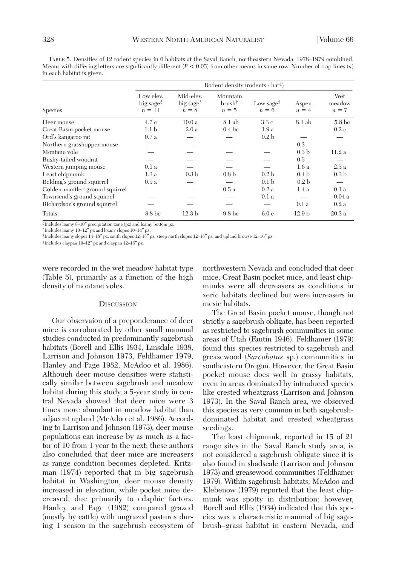TABLE 5. Densities of 12 rodent species in 6 habitats at the Saval Ranch, northeastern Nevada, 1978–1979 combined. Means with differing letters are significantly different  $(P < 0.05)$  from other means in same row. Number of trap lines  $(n)$ in each habitat is given.

|                                | Rodent density (rodents $\cdot$ ha <sup>-1</sup> ) |                                               |                                         |                                                    |                   |                        |  |
|--------------------------------|----------------------------------------------------|-----------------------------------------------|-----------------------------------------|----------------------------------------------------|-------------------|------------------------|--|
| Species                        | Low elev.<br>big sage <sup>§</sup><br>$n = 11$     | Mid-elev.<br>big sage <sup>*</sup><br>$n = 8$ | Mountain<br>brush <sup>†</sup><br>$n=5$ | Low sage <sup><math>\ddagger</math></sup><br>$n=6$ | Aspen<br>$n = 4$  | Wet<br>meadow<br>$n=7$ |  |
| Deer mouse                     | 4.7 c                                              | 10.0a                                         | 8.1 ab                                  | 3.3c                                               | 8.1 ab            | 5.8 <sub>bc</sub>      |  |
| Great Basin pocket mouse       | 1.1 <sub>b</sub>                                   | 2.0a                                          | 0.4 <sub>bc</sub>                       | 1.9a                                               |                   | 0.2c                   |  |
| Ord's kangaroo rat             | 0.7a                                               |                                               |                                         | 0.2 <sub>b</sub>                                   |                   |                        |  |
| Northern grasshopper mouse     |                                                    |                                               |                                         |                                                    | 0.3               |                        |  |
| Montane vole                   |                                                    |                                               |                                         |                                                    | 0.3 <sub>b</sub>  | 11.2a                  |  |
| Bushy-tailed woodrat           |                                                    |                                               |                                         |                                                    | 0.5               |                        |  |
| Western jumping mouse          | 0.1a                                               |                                               |                                         |                                                    | 1.6a              | 2.5a                   |  |
| Least chipmunk                 | 1.3a                                               | 0.3 <sub>b</sub>                              | 0.8 <sub>b</sub>                        | 0.2 <sub>b</sub>                                   | 0.4 <sub>b</sub>  | 0.3 <sub>b</sub>       |  |
| Belding's ground squirrel      | 0.9a                                               |                                               |                                         | 0.1 <sub>b</sub>                                   | 0.2 <sub>b</sub>  |                        |  |
| Golden-mantled ground squirrel |                                                    |                                               | 0.5a                                    | 0.2a                                               | 1.4a              | 0.1a                   |  |
| Townsend's ground squirrel     |                                                    |                                               |                                         | 0.1a                                               |                   | 0.04a                  |  |
| Richardson's ground squirrel   |                                                    |                                               |                                         |                                                    | 0.1a              | 0.2a                   |  |
| Totals                         | 8.8 bc                                             | 12.3 <sub>b</sub>                             | 9.8 <sub>bc</sub>                       | 6.0c                                               | 12.9 <sub>b</sub> | 20.3a                  |  |

§Includes loamy 8–10″ precipitation zone (pz) and loamy bottom pz.

\*Includes loamy 10–12″ pz and loamy slopes 10–14″ pz.

†Includes loamy slopes 14–18″ pz, south slopes 12–18″ pz, steep north slopes 12–18″ pz, and upland browse 12–16″ pz.

‡Includes claypan 10–12″ pz and claypan 12–16″ pz.

were recorded in the wet meadow habitat type (Table 5), primarily as a function of the high density of montane voles.

#### **DISCUSSION**

Our observaion of a preponderance of deer mice is corroborated by other small mammal studies conducted in predominantly sagebrush habitats (Borell and Ellis 1934, Linsdale 1938, Larrison and Johnson 1973, Feldhamer 1979, Hanley and Page 1982, McAdoo et al. 1986). Although deer mouse densities were statistically similar between sagebrush and meadow habitat during this study, a 5-year study in central Nevada showed that deer mice were 3 times more abundant in meadow habitat than adjacent upland (McAdoo et al. 1986). According to Larrison and Johnson (1973), deer mouse populations can increase by as much as a factor of 10 from 1 year to the next; these authors also concluded that deer mice are increasers as range condition becomes depleted. Kritzman (1974) reported that in big sagebrush habitat in Washington, deer mouse density increased in elevation, while pocket mice decreased, due primarily to edaphic factors. Hanley and Page (1982) compared grazed (mostly by cattle) with ungrazed pastures during 1 season in the sagebrush ecosystem of

northwestern Nevada and concluded that deer mice, Great Basin pocket mice, and least chipmunks were all decreasers as conditions in xeric habitats declined but were increasers in mesic habitats.

The Great Basin pocket mouse, though not strictly a sagebrush obligate, has been reported as restricted to sagebrush communities in some areas of Utah (Fautin 1946). Feldhamer (1979) found this species restricted to sagebrush and greasewood (*Sarcobatus* sp.) communities in southeastern Oregon. However, the Great Basin pocket mouse does well in grassy habitats, even in areas dominated by introduced species like crested wheatgrass (Larrison and Johnson 1973). In the Saval Ranch area, we observed this species as very common in both sagebrushdominated habitat and crested wheatgrass seedings.

The least chipmunk, reported in 15 of 21 range sites in the Saval Ranch study area, is not considered a sagebrush obligate since it is also found in shadscale (Larrison and Johnson 1973) and greasewood communities (Feldhamer 1979). Within sagebrush habitats, McAdoo and Klebenow (1979) reported that the least chipmunk was spotty in distribution; however, Borell and Ellis (1934) indicated that this species was a characteristic mammal of big sagebrush–grass habitat in eastern Nevada, and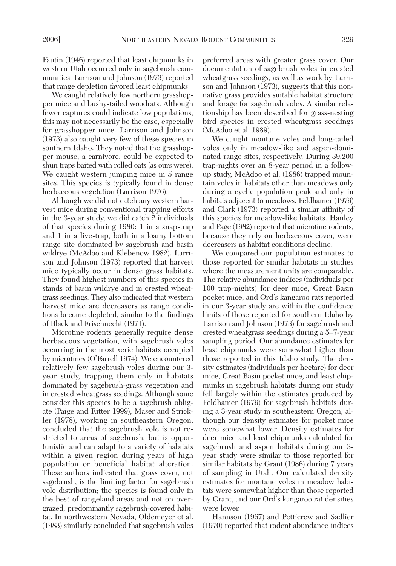We caught relatively few northern grasshopper mice and bushy-tailed woodrats. Although fewer captures could indicate low populations, this may not necessarily be the case, especially for grasshopper mice. Larrison and Johnson (1973) also caught very few of these species in southern Idaho. They noted that the grasshopper mouse, a carnivore, could be expected to shun traps baited with rolled oats (as ours were). We caught western jumping mice in 5 range sites. This species is typically found in dense herbaceous vegetation (Larrison 1976).

Although we did not catch any western harvest mice during conventional trapping efforts in the 3-year study, we did catch 2 individuals of that species during 1980: 1 in a snap-trap and 1 in a live-trap, both in a loamy bottom range site dominated by sagebrush and basin wildrye (McAdoo and Klebenow 1982). Larrison and Johnson (1973) reported that harvest mice typically occur in dense grass habitats. They found highest numbers of this species in stands of basin wildrye and in crested wheatgrass seedings. They also indicated that western harvest mice are decreasers as range conditions become depleted, similar to the findings of Black and Frischnecht (1971).

Microtine rodents generally require dense herbaceous vegetation, with sagebrush voles occurring in the most xeric habitats occupied by microtines (O'Farrell 1974). We encountered relatively few sagebrush voles during our 3 year study, trapping them only in habitats dominated by sagebrush-grass vegetation and in crested wheatgrass seedings. Although some consider this species to be a sagebrush obligate (Paige and Ritter 1999), Maser and Strickler (1978), working in southeastern Oregon, concluded that the sagebrush vole is not restricted to areas of sagebrush, but is opportunistic and can adapt to a variety of habitats within a given region during years of high population or beneficial habitat alteration. These authors indicated that grass cover, not sagebrush, is the limiting factor for sagebrush vole distribution; the species is found only in the best of rangeland areas and not on overgrazed, predominantly sagebrush-covered habitat. In northwestern Nevada, Oldemeyer et al. (1983) similarly concluded that sagebrush voles preferred areas with greater grass cover. Our documentation of sagebrush voles in crested wheatgrass seedings, as well as work by Larrison and Johnson (1973), suggests that this nonnative grass provides suitable habitat structure and forage for sagebrush voles. A similar relationship has been described for grass-nesting bird species in crested wheatgrass seedings (McAdoo et al. 1989).

We caught montane voles and long-tailed voles only in meadow-like and aspen-dominated range sites, respectively. During 39,200 trap-nights over an 8-year period in a followup study, McAdoo et al. (1986) trapped mountain voles in habitats other than meadows only during a cyclic population peak and only in habitats adjacent to meadows. Feldhamer (1979) and Clark (1973) reported a similar affinity of this species for meadow-like habitats. Hanley and Page (1982) reported that microtine rodents, because they rely on herbaceous cover, were decreasers as habitat conditions decline.

We compared our population estimates to those reported for similar habitats in studies where the measurement units are comparable. The relative abundance indices (individuals per 100 trap-nights) for deer mice, Great Basin pocket mice, and Ord's kangaroo rats reported in our 3-year study are within the confidence limits of those reported for southern Idaho by Larrison and Johnson (1973) for sagebrush and crested wheatgrass seedings during a 5–7-year sampling period. Our abundance estimates for least chipmunks were somewhat higher than those reported in this Idaho study. The density estimates (individuals per hectare) for deer mice, Great Basin pocket mice, and least chipmunks in sagebrush habitats during our study fell largely within the estimates produced by Feldhamer (1979) for sagebrush habitats during a 3-year study in southeastern Oregon, although our density estimates for pocket mice were somewhat lower. Density estimates for deer mice and least chipmunks calculated for sagebrush and aspen habitats during our 3 year study were similar to those reported for similar habitats by Grant (1986) during 7 years of sampling in Utah. Our calculated density estimates for montane voles in meadow habitats were somewhat higher than those reported by Grant, and our Ord's kangaroo rat densities were lower.

Hannson (1967) and Petticrew and Sadlier (1970) reported that rodent abundance indices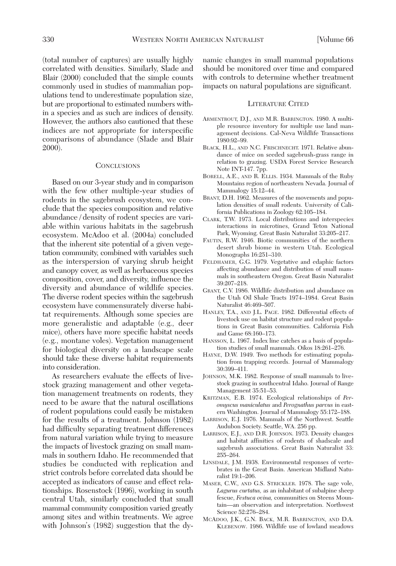(total number of captures) are usually highly correlated with densities. Similarly, Slade and Blair (2000) concluded that the simple counts commonly used in studies of mammalian populations tend to underestimate population size, but are proportional to estimated numbers within a species and as such are indices of density. However, the authors also cautioned that these indices are not appropriate for interspecific comparisons of abundance (Slade and Blair 2000).

## **CONCLUSIONS**

Based on our 3-year study and in comparison with the few other multiple-year studies of rodents in the sagebrush ecosystem, we conclude that the species composition and relative abundance / density of rodent species are variable within various habitats in the sagebrush ecosystem. McAdoo et al. (2004a) concluded that the inherent site potential of a given vegetation community, combined with variables such as the interspersion of varying shrub height and canopy cover, as well as herbaceous species composition, cover, and diversity, influence the diversity and abundance of wildlife species. The diverse rodent species within the sagebrush ecosystem have commensurately diverse habitat requirements. Although some species are more generalistic and adaptable (e.g., deer mice), others have more specific habitat needs (e.g., montane voles). Vegetation management for biological diversity on a landscape scale should take these diverse habitat requirements into consideration.

As researchers evaluate the effects of livestock grazing management and other vegetation management treatments on rodents, they need to be aware that the natural oscillations of rodent populations could easily be mistaken for the results of a treatment. Johnson (1982) had difficulty separating treatment differences from natural variation while trying to measure the impacts of livestock grazing on small mammals in southern Idaho. He recommended that studies be conducted with replication and strict controls before correlated data should be accepted as indicators of cause and effect relationships. Rosenstock (1996), working in south central Utah, similarly concluded that small mammal community composition varied greatly among sites and within treatments. We agree with Johnson's (1982) suggestion that the dynamic changes in small mammal populations should be monitored over time and compared with controls to determine whether treatment impacts on natural populations are significant.

#### LITERATURE CITED

- ARMENTROUT, D.J., AND M.R. BARRINGTON. 1980. A multiple resource inventory for multiple use land management decisions. Cal-Neva Wildlife Transactions 1980:92–99.
- BLACK, H.L., AND N.C. FRISCHNECHT. 1971. Relative abundance of mice on seeded sagebrush-grass range in relation to grazing. USDA Forest Service Research Note INT-147. 7pp.
- BORELL, A.E., AND R. ELLIS. 1934. Mammals of the Ruby Mountains region of northeastern Nevada. Journal of Mammalogy 15:12–44.
- BRANT, D.H. 1962. Measures of the movements and population densities of small rodents. University of California Publications in Zoology 62:105–184.
- CLARK, T.W. 1973. Local distributions and interspecies interactions in microtines, Grand Teton National Park, Wyoming. Great Basin Naturalist 33:205–217.
- FAUTIN, R.W. 1946. Biotic communities of the northern desert shrub biome in western Utah. Ecological Monographs 16:251–310.
- FELDHAMER, G.G. 1979. Vegetative and edaphic factors affecting abundance and distribution of small mammals in southeastern Oregon. Great Basin Naturalist 39:207–218.
- GRANT, C.V. 1986. Wildlife distribution and abundance on the Utah Oil Shale Tracts 1974–1984. Great Basin Naturalist 46:469–507.
- HANLEY, T.A., AND J.L. PAGE. 1982. Differential effects of livestock use on habitat structure and rodent populations in Great Basin communities. California Fish and Game 68:160–173.
- HANSSON, L. 1967. Index line catches as a basis of population studies of small mammals. Oikos 18:261–276.
- HAYNE, D.W. 1949. Two methods for estimating population from trapping records. Journal of Mammalogy 30:399–411.
- JOHNSON, M.K. 1982. Response of small mammals to livestock grazing in southcentral Idaho. Journal of Range Management 35:51–53.
- KRITZMAN, E.B. 1974. Ecological relationships of *Peromyscus maniculatus* and *Perognathus parvus* in eastern Washington. Journal of Mammalogy 55:172–188.
- LARRISON, E.J. 1976. Mammals of the Northwest. Seattle Audubon Society. Seattle, WA. 256 pp.
- LARRISON, E.J., AND D.R. JOHNSON. 1973. Density changes and habitat affinities of rodents of shadscale and sagebrush associations. Great Basin Naturalist 33: 255–264.
- LINSDALE, J.M. 1938. Environmental responses of vertebrates in the Great Basin. American Midland Naturalist 19:1–206.
- MASER, C.W., AND G.S. STRICKLER. 1978. The sage vole, *Lagurus curtatus,* as an inhabitant of subalpine sheep fescue, *Festuca ovina,* communities on Steens Mountain—an observation and interpretation. Northwest Science 52:276–284.
- MCADOO, J.K., G.N. BACK, M.R. BARRINGTON, AND D.A. KLEBENOW. 1986. Wildlife use of lowland meadows